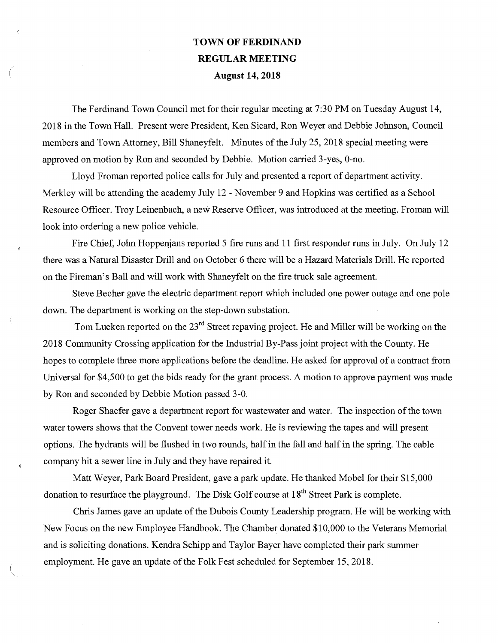## TOWN OF FERDINAND REGULAR MEETING August 14, 2018

The Ferdinand Town Council met for their regular meeting at 7:30 PM on Tuesday August 14, 2018 in the Town Hall. Present were President, Ken Sicard, Ron Weyer and Debbie Johnson, Council members and Town Attorney, Bill Shaneyfelt. Minutes of the July 25, 2018 special meeting were approved on motion by Ron and seconded by Debbie. Motion carried 3-yes, 0-no.

Lloyd Froman reported police calls for July and presented a report of department activity. Merkley will be attending the academy July 12 - November 9 and Hopkins was certified as a School Resource Officer. Troy Leinenbach, a new Reserve Officer, was introduced at the meeting. Froman will look into ordering a new police vehicle.

Fire Chief, John Hoppenjans reported 5 fire runs and 11 first responder runs in July. On July 12 there was a Natural Disaster Drill and on October 6 there will be a Hazard Materials Drill. He reported on the Fireman's Ball and will work with Shaneyfelt on the fire truck sale agreement.

 $\vec{r}_i$ 

Steve Becher gave the electric department report which included one power outage and one pole down. The department is working on the step-down substation.

Tom Lueken reported on the  $23<sup>rd</sup>$  Street repaving project. He and Miller will be working on the 2018 Community Crossing application for the Industrial By-Pass joint project with the County. He hopes to complete three more applications before the deadline. He asked for approval of a contract from Universal for \$4,500 to get the bids ready for the grant process. A motion to approve payment was made by Ron and seconded by Debbie Motion passed 3-0.

Roger Shaefer gave a department report for wastewater and water. The inspection of the tovvn water towers shows that the Convent tower needs work. He is reviewing the tapes and will present options. The hydrants will be flushed in two rounds, half in the fall and half in the spring. The cable company hit a sewer line in July and they have repaired it.

Matt Weyer, Park Board President, gave a park update. He thanked Mobel for their \$15,000 donation to resurface the playground. The Disk Golf course at  $18<sup>th</sup>$  Street Park is complete.

Chris James gave an update of the Dubois County Leadership program. He will be working with New Focus on the new Employee Handbook. The Chamber donated \$10,000 to the Veterans Memorial and is soliciting donations. Kendra Schipp and Taylor Bayer have completed their park summer employment. He gave an update of the Folk Fest scheduled for September 15, 2018.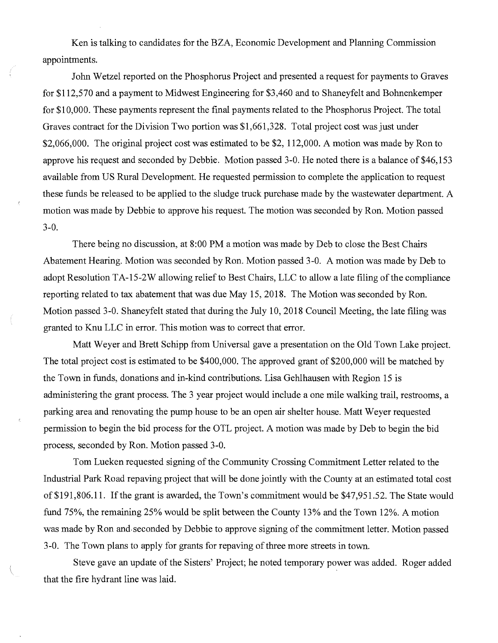Ken is talking to candidates for the BZA, Economic Development and Planning Commission appointments.

John Wetzel reported on the Phosphorus Project and presented a request for payments to Graves for \$112,570 and a payment to Midwest Engineering for \$3,460 and to Shaneyfelt and Bohnenkemper for \$10,000. These payments represent the final payments related to the Phosphorus Project. The total Graves contract for the Division Two portion was \$1,661,328. Total project cost was just under \$2,066,000. The original project cost was estimated to be \$2, 112,000. A motion was made by Ron to approve his request and seconded by Debbie. Motion passed 3-0. He noted there is a balance of \$46,153 available from US Rural Development. He requested permission to complete the application to request these funds be released to be applied to the sludge truck purchase made by the wastewater department. A motion was made by Debbie to approve his request. The motion was seconded by Ron. Motion passed 3-0.

 $\vec{r}_i$ 

There being no discussion, at 8:00 PM a motion was made by Deb to close the Best Chairs Abatement Hearing. Motion was seconded by Ron. Motion passed 3-0. A motion was made by Deb to adopt Resolution TA-15-2W allowing relief to Best Chairs, LLC to allow a late filing of the compliance reporting related to tax abatement that was due May 15, 2018. The Motion was seconded by Ron. Motion passed 3-0. Shaneyfelt stated that during the July 10, 2018 Council Meeting, the late filing was granted to Knu LLC in error. This motion was to correct that error.

Matt Weyer and Brett Schipp from Universal gave a presentation on the Old Town Lake project. The total project cost is estimated to be \$400,000. The approved grant of \$200,000 will be matched by the Town in ftinds, donations and in-kind contributions. Lisa Gehlhausen with Region 15 is administering the grant process. The 3 year project would include a one mile walking trail, restrooms, a parking area and renovating the pump house to be an open air shelter house. Matt Weyer requested permission to begin the bid process for the OTL project. A motion was made by Deb to begin the bid process, seconded by Ron. Motion passed 3-0.

Tom Lueken requested signing of the Community Crossing Commitment Letter related to the Industrial Park Road repaving project that will be done jointly with the County at an estimated total cost of \$191,806.11. If the grant is awarded, the Town's commitment would be \$47,951.52. The State would fund 75%, the remaining 25% would be split between the County 13% and the Town 12%. A motion was made by Ron and seconded by Debbie to approve signing of the commitment letter. Motion passed 3-0. The Town plans to apply for grants for repaving of three more streets in town.

Steve gave an update of the Sisters' Project; he noted temporary power was added. Roger added that the fire hydrant line was laid.